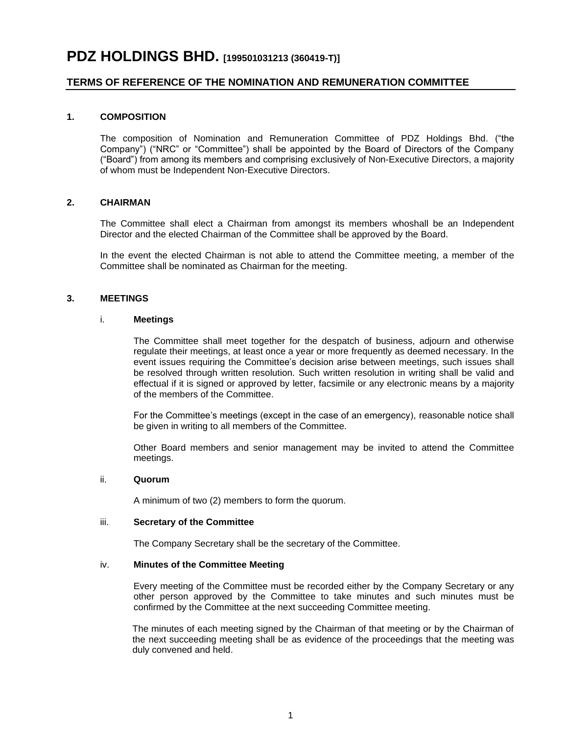# **PDZ HOLDINGS BHD. [199501031213 (360419-T)]**

## **TERMS OF REFERENCE OF THE NOMINATION AND REMUNERATION COMMITTEE**

### **1. COMPOSITION**

The composition of Nomination and Remuneration Committee of PDZ Holdings Bhd. ("the Company") ("NRC" or "Committee") shall be appointed by the Board of Directors of the Company ("Board") from among its members and comprising exclusively of Non-Executive Directors, a majority of whom must be Independent Non-Executive Directors.

### **2. CHAIRMAN**

The Committee shall elect a Chairman from amongst its members whoshall be an Independent Director and the elected Chairman of the Committee shall be approved by the Board.

In the event the elected Chairman is not able to attend the Committee meeting, a member of the Committee shall be nominated as Chairman for the meeting.

### **3. MEETINGS**

### i. **Meetings**

The Committee shall meet together for the despatch of business, adjourn and otherwise regulate their meetings, at least once a year or more frequently as deemed necessary. In the event issues requiring the Committee's decision arise between meetings, such issues shall be resolved through written resolution. Such written resolution in writing shall be valid and effectual if it is signed or approved by letter, facsimile or any electronic means by a majority of the members of the Committee.

For the Committee's meetings (except in the case of an emergency), reasonable notice shall be given in writing to all members of the Committee.

Other Board members and senior management may be invited to attend the Committee meetings.

### ii. **Quorum**

A minimum of two (2) members to form the quorum.

### iii. **Secretary of the Committee**

The Company Secretary shall be the secretary of the Committee.

### iv. **Minutes of the Committee Meeting**

Every meeting of the Committee must be recorded either by the Company Secretary or any other person approved by the Committee to take minutes and such minutes must be confirmed by the Committee at the next succeeding Committee meeting.

The minutes of each meeting signed by the Chairman of that meeting or by the Chairman of the next succeeding meeting shall be as evidence of the proceedings that the meeting was duly convened and held.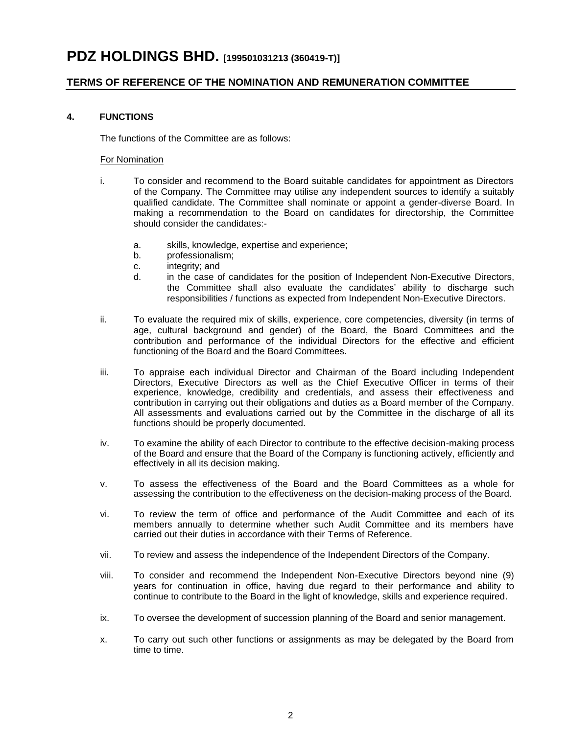# **PDZ HOLDINGS BHD. [199501031213 (360419-T)]**

## **TERMS OF REFERENCE OF THE NOMINATION AND REMUNERATION COMMITTEE**

### **4. FUNCTIONS**

The functions of the Committee are as follows:

#### For Nomination

- i. To consider and recommend to the Board suitable candidates for appointment as Directors of the Company. The Committee may utilise any independent sources to identify a suitably qualified candidate. The Committee shall nominate or appoint a gender-diverse Board. In making a recommendation to the Board on candidates for directorship, the Committee should consider the candidates:
	- a. skills, knowledge, expertise and experience;
	- b. professionalism;
	- c. integrity; and
	- d. in the case of candidates for the position of Independent Non-Executive Directors, the Committee shall also evaluate the candidates' ability to discharge such responsibilities / functions as expected from Independent Non-Executive Directors.
- ii. To evaluate the required mix of skills, experience, core competencies, diversity (in terms of age, cultural background and gender) of the Board, the Board Committees and the contribution and performance of the individual Directors for the effective and efficient functioning of the Board and the Board Committees.
- iii. To appraise each individual Director and Chairman of the Board including Independent Directors, Executive Directors as well as the Chief Executive Officer in terms of their experience, knowledge, credibility and credentials, and assess their effectiveness and contribution in carrying out their obligations and duties as a Board member of the Company. All assessments and evaluations carried out by the Committee in the discharge of all its functions should be properly documented.
- iv. To examine the ability of each Director to contribute to the effective decision-making process of the Board and ensure that the Board of the Company is functioning actively, efficiently and effectively in all its decision making.
- v. To assess the effectiveness of the Board and the Board Committees as a whole for assessing the contribution to the effectiveness on the decision-making process of the Board.
- vi. To review the term of office and performance of the Audit Committee and each of its members annually to determine whether such Audit Committee and its members have carried out their duties in accordance with their Terms of Reference.
- vii. To review and assess the independence of the Independent Directors of the Company.
- viii. To consider and recommend the Independent Non-Executive Directors beyond nine (9) years for continuation in office, having due regard to their performance and ability to continue to contribute to the Board in the light of knowledge, skills and experience required.
- ix. To oversee the development of succession planning of the Board and senior management.
- x. To carry out such other functions or assignments as may be delegated by the Board from time to time.